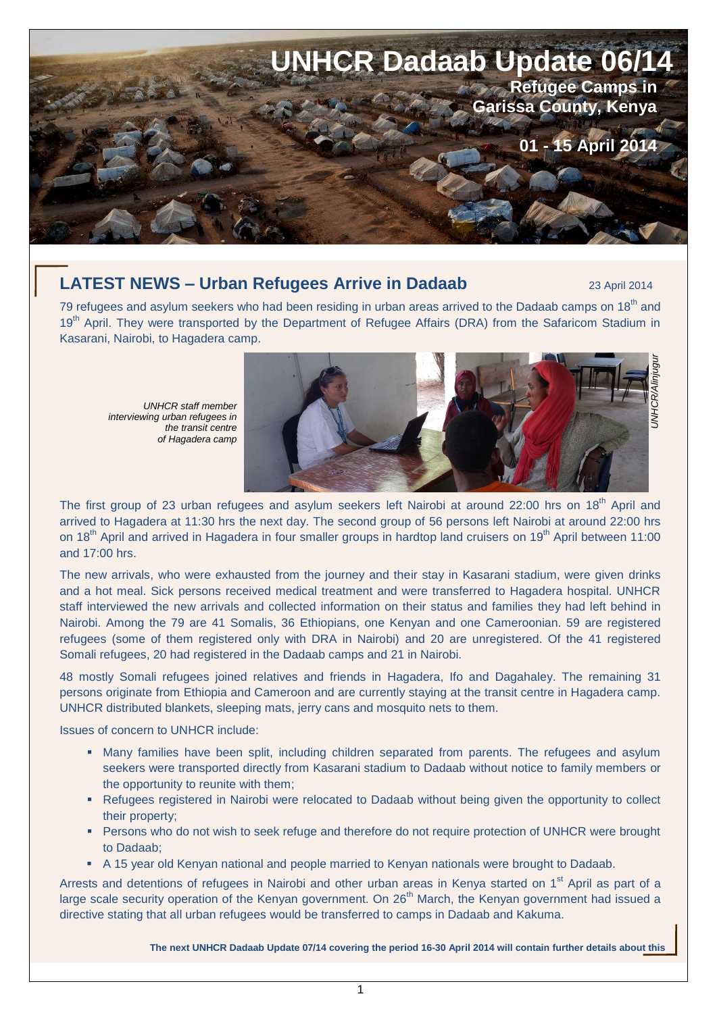

# **LATEST NEWS – Urban Refugees Arrive in Dadaab** 23 April 2014

79 refugees and asylum seekers who had been residing in urban areas arrived to the Dadaab camps on 18<sup>th</sup> and 19<sup>th</sup> April. They were transported by the Department of Refugee Affairs (DRA) from the Safaricom Stadium in Kasarani, Nairobi, to Hagadera camp.

*UNHCR staff member interviewing urban refugees in the transit centre of Hagadera camp*



The first group of 23 urban refugees and asylum seekers left Nairobi at around 22:00 hrs on 18<sup>th</sup> April and arrived to Hagadera at 11:30 hrs the next day. The second group of 56 persons left Nairobi at around 22:00 hrs on 18<sup>th</sup> April and arrived in Hagadera in four smaller groups in hardtop land cruisers on 19<sup>th</sup> April between 11:00 and 17:00 hrs.

The new arrivals, who were exhausted from the journey and their stay in Kasarani stadium, were given drinks and a hot meal. Sick persons received medical treatment and were transferred to Hagadera hospital. UNHCR staff interviewed the new arrivals and collected information on their status and families they had left behind in Nairobi. Among the 79 are 41 Somalis, 36 Ethiopians, one Kenyan and one Cameroonian. 59 are registered refugees (some of them registered only with DRA in Nairobi) and 20 are unregistered. Of the 41 registered Somali refugees, 20 had registered in the Dadaab camps and 21 in Nairobi.

48 mostly Somali refugees joined relatives and friends in Hagadera, Ifo and Dagahaley. The remaining 31 persons originate from Ethiopia and Cameroon and are currently staying at the transit centre in Hagadera camp. UNHCR distributed blankets, sleeping mats, jerry cans and mosquito nets to them.

Issues of concern to UNHCR include:

- Many families have been split, including children separated from parents. The refugees and asylum seekers were transported directly from Kasarani stadium to Dadaab without notice to family members or the opportunity to reunite with them;
- **-** Refugees registered in Nairobi were relocated to Dadaab without being given the opportunity to collect their property;
- **Persons who do not wish to seek refuge and therefore do not require protection of UNHCR were brought** to Dadaab;
- A 15 year old Kenyan national and people married to Kenyan nationals were brought to Dadaab.

Arrests and detentions of refugees in Nairobi and other urban areas in Kenya started on 1<sup>st</sup> April as part of a large scale security operation of the Kenyan government. On  $26<sup>th</sup>$  March, the Kenyan government had issued a directive stating that all urban refugees would be transferred to camps in Dadaab and Kakuma.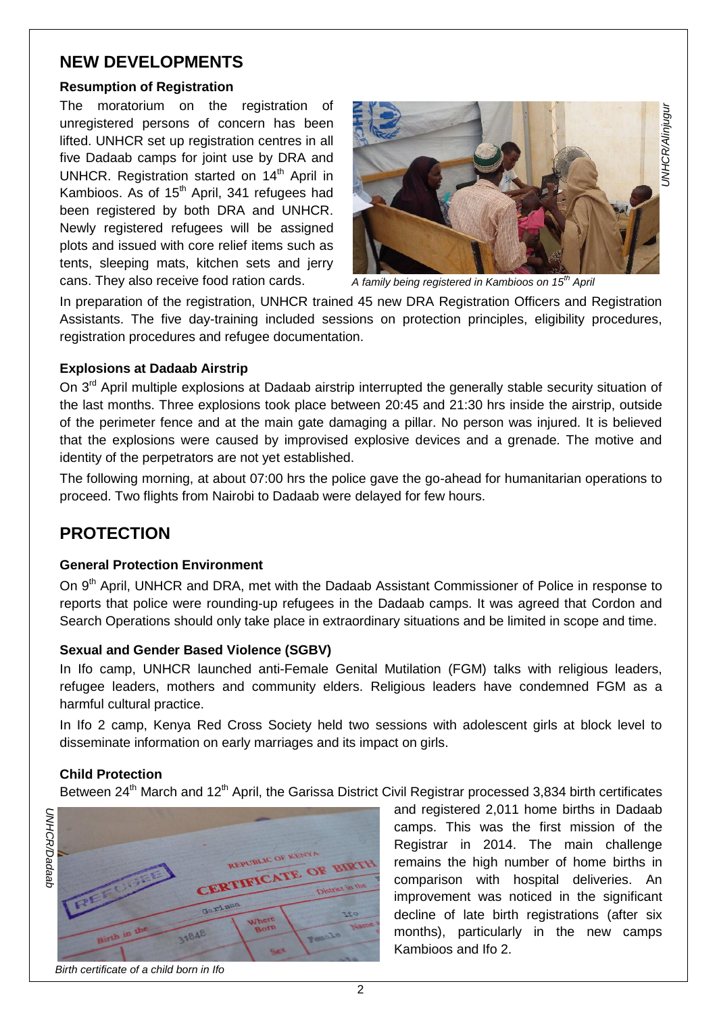# **NEW DEVELOPMENTS** *<sup>=</sup>*

### **Resumption of Registration**

The moratorium on the registration of unregistered persons of concern has been lifted. UNHCR set up registration centres in all five Dadaab camps for joint use by DRA and UNHCR. Registration started on 14<sup>th</sup> April in Kambioos. As of  $15<sup>th</sup>$  April, 341 refugees had been registered by both DRA and UNHCR. Newly registered refugees will be assigned plots and issued with core relief items such as tents, sleeping mats, kitchen sets and jerry cans. They also receive food ration cards.



*A family being registered in Kambioos on 15th April*

In preparation of the registration, UNHCR trained 45 new DRA Registration Officers and Registration Assistants. The five day-training included sessions on protection principles, eligibility procedures, registration procedures and refugee documentation.

## **Explosions at Dadaab Airstrip**

On 3<sup>rd</sup> April multiple explosions at Dadaab airstrip interrupted the generally stable security situation of the last months. Three explosions took place between 20:45 and 21:30 hrs inside the airstrip, outside of the perimeter fence and at the main gate damaging a pillar. No person was injured. It is believed that the explosions were caused by improvised explosive devices and a grenade. The motive and identity of the perpetrators are not yet established.

The following morning, at about 07:00 hrs the police gave the go-ahead for humanitarian operations to proceed. Two flights from Nairobi to Dadaab were delayed for few hours.

# **PROTECTION**

## **General Protection Environment**

On 9<sup>th</sup> April, UNHCR and DRA, met with the Dadaab Assistant Commissioner of Police in response to reports that police were rounding-up refugees in the Dadaab camps. It was agreed that Cordon and Search Operations should only take place in extraordinary situations and be limited in scope and time.

## **Sexual and Gender Based Violence (SGBV)**

In Ifo camp, UNHCR launched anti-Female Genital Mutilation (FGM) talks with religious leaders, refugee leaders, mothers and community elders. Religious leaders have condemned FGM as a harmful cultural practice.

In Ifo 2 camp, Kenya Red Cross Society held two sessions with adolescent girls at block level to disseminate information on early marriages and its impact on girls.

## **Child Protection**

Between 24<sup>th</sup> March and 12<sup>th</sup> April, the Garissa District Civil Registrar processed 3,834 birth certificates



and registered 2,011 home births in Dadaab camps. This was the first mission of the Registrar in 2014. The main challenge remains the high number of home births in comparison with hospital deliveries. An improvement was noticed in the significant decline of late birth registrations (after six months), particularly in the new camps Kambioos and Ifo 2.

*Birth certificate of a child born in Ifo*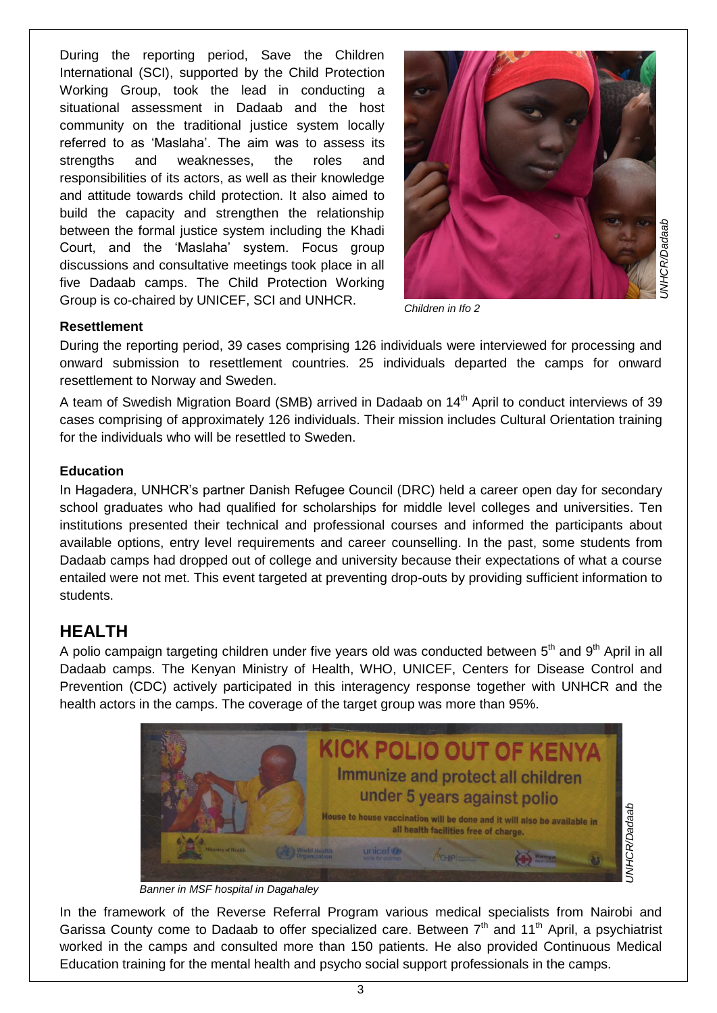During the reporting period, Save the Children International (SCI), supported by the Child Protection Working Group, took the lead in conducting a situational assessment in Dadaab and the host community on the traditional justice system locally referred to as 'Maslaha'. The aim was to assess its strengths and weaknesses, the roles and responsibilities of its actors, as well as their knowledge and attitude towards child protection. It also aimed to build the capacity and strengthen the relationship between the formal justice system including the Khadi Court, and the 'Maslaha' system. Focus group discussions and consultative meetings took place in all five Dadaab camps. The Child Protection Working Group is co-chaired by UNICEF, SCI and UNHCR.



*Children in Ifo 2*

### **Resettlement**

During the reporting period, 39 cases comprising 126 individuals were interviewed for processing and onward submission to resettlement countries. 25 individuals departed the camps for onward resettlement to Norway and Sweden.

A team of Swedish Migration Board (SMB) arrived in Dadaab on 14<sup>th</sup> April to conduct interviews of 39 cases comprising of approximately 126 individuals. Their mission includes Cultural Orientation training for the individuals who will be resettled to Sweden.

## **Education**

In Hagadera, UNHCR's partner Danish Refugee Council (DRC) held a career open day for secondary school graduates who had qualified for scholarships for middle level colleges and universities. Ten institutions presented their technical and professional courses and informed the participants about available options, entry level requirements and career counselling. In the past, some students from Dadaab camps had dropped out of college and university because their expectations of what a course entailed were not met. This event targeted at preventing drop-outs by providing sufficient information to students.

# **HEALTH**

A polio campaign targeting children under five years old was conducted between  $5<sup>th</sup>$  and  $9<sup>th</sup>$  April in all Dadaab camps. The Kenyan Ministry of Health, WHO, UNICEF, Centers for Disease Control and Prevention (CDC) actively participated in this interagency response together with UNHCR and the health actors in the camps. The coverage of the target group was more than 95%.



*Banner in MSF hospital in Dagahaley* 

In the framework of the Reverse Referral Program various medical specialists from Nairobi and Garissa County come to Dadaab to offer specialized care. Between  $7<sup>th</sup>$  and  $11<sup>th</sup>$  April, a psychiatrist worked in the camps and consulted more than 150 patients. He also provided Continuous Medical Education training for the mental health and psycho social support professionals in the camps.